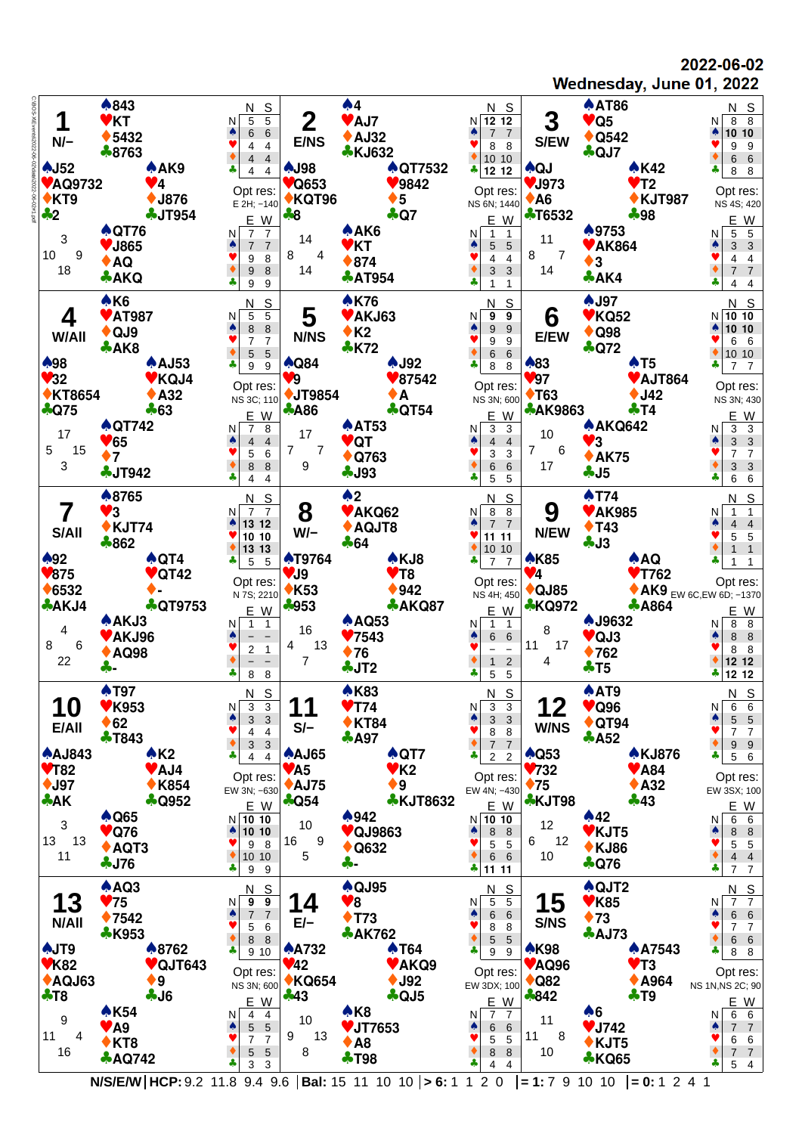2022-06-02 Wednesday, June 01, 2022



**N/S/E/W HCP:** 9.2 11.8 9.4 9.6 **Bal:** 15 11 10 10 **> 6:** 1 1 2 0 **= 1:** 7 9 10 10 **= 0:** 1 2 4 1